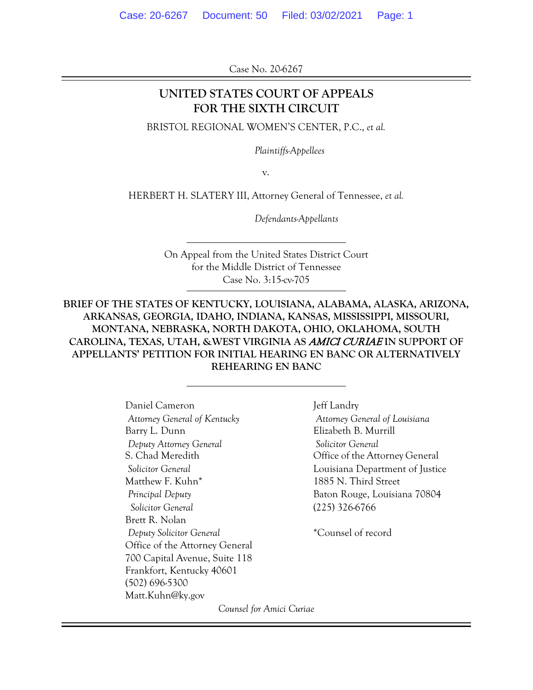Case No. 20-6267

## **UNITED STATES COURT OF APPEALS FOR THE SIXTH CIRCUIT**

BRISTOL REGIONAL WOMEN'S CENTER, P.C., *et al.*

*Plaintiffs-Appellees*

v.

HERBERT H. SLATERY III, Attorney General of Tennessee, *et al.*

*Defendants-Appellants*

On Appeal from the United States District Court for the Middle District of Tennessee Case No. 3:15-cv-705

**BRIEF OF THE STATES OF KENTUCKY, LOUISIANA, ALABAMA, ALASKA, ARIZONA, ARKANSAS, GEORGIA, IDAHO, INDIANA, KANSAS, MISSISSIPPI, MISSOURI, MONTANA, NEBRASKA, NORTH DAKOTA, OHIO, OKLAHOMA, SOUTH CAROLINA, TEXAS, UTAH, &WEST VIRGINIA AS** AMICI CURIAE **IN SUPPORT OF APPELLANTS' PETITION FOR INITIAL HEARING EN BANC OR ALTERNATIVELY REHEARING EN BANC**

> Daniel Cameron Jeff Landry *Attorney General of Kentucky Attorney General of Louisiana* Barry L. Dunn Elizabeth B. Murrill *Deputy Attorney General Solicitor General* S. Chad Meredith Office of the Attorney General Matthew F. Kuhn\* 1885 N. Third Street *Principal Deputy* Baton Rouge, Louisiana 70804  *Solicitor General* (225) 326-6766 Brett R. Nolan *Deputy Solicitor General* \*Counsel of record Office of the Attorney General 700 Capital Avenue, Suite 118 Frankfort, Kentucky 40601 (502) 696-5300 Matt.Kuhn@ky.gov

*Solicitor General* Louisiana Department of Justice

*Counsel for Amici Curiae*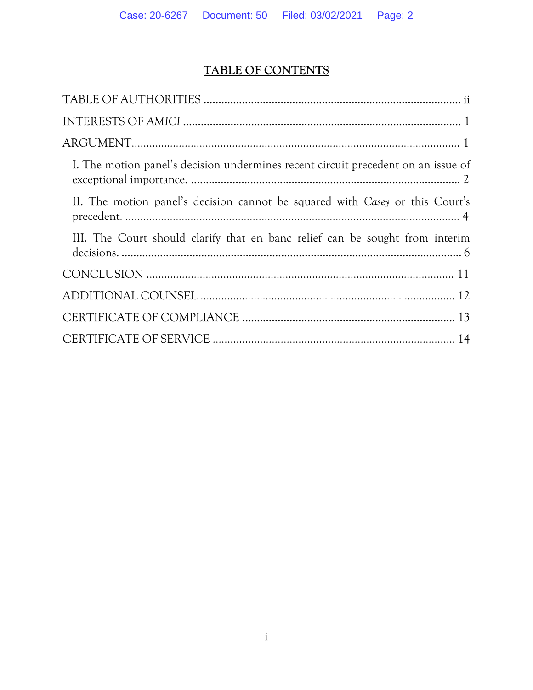# **TABLE OF CONTENTS**

| I. The motion panel's decision undermines recent circuit precedent on an issue of |
|-----------------------------------------------------------------------------------|
| II. The motion panel's decision cannot be squared with Casey or this Court's      |
| III. The Court should clarify that en banc relief can be sought from interim      |
|                                                                                   |
|                                                                                   |
|                                                                                   |
|                                                                                   |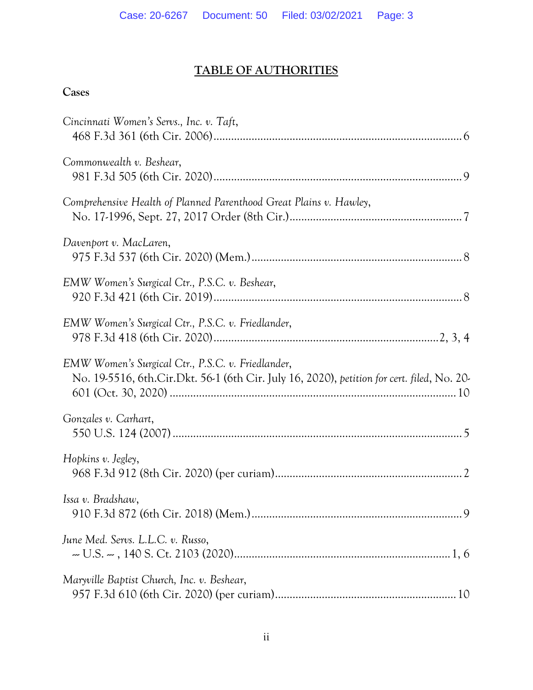# **TABLE OF AUTHORITIES**

# **Cases**

| Cincinnati Women's Servs., Inc. v. Taft,                                                                                                        |
|-------------------------------------------------------------------------------------------------------------------------------------------------|
| Commonwealth v. Beshear,                                                                                                                        |
| Comprehensive Health of Planned Parenthood Great Plains v. Hawley,                                                                              |
| Davenport v. MacLaren,                                                                                                                          |
| EMW Women's Surgical Ctr., P.S.C. v. Beshear,                                                                                                   |
| EMW Women's Surgical Ctr., P.S.C. v. Friedlander,                                                                                               |
| EMW Women's Surgical Ctr., P.S.C. v. Friedlander,<br>No. 19-5516, 6th.Cir.Dkt. 56-1 (6th Cir. July 16, 2020), petition for cert. filed, No. 20- |
| Gonzales v. Carhart,                                                                                                                            |
| Hopkins v. Jegley,                                                                                                                              |
| Issa v. Bradshaw,                                                                                                                               |
| June Med. Servs. L.L.C. v. Russo,                                                                                                               |
| Maryville Baptist Church, Inc. v. Beshear,                                                                                                      |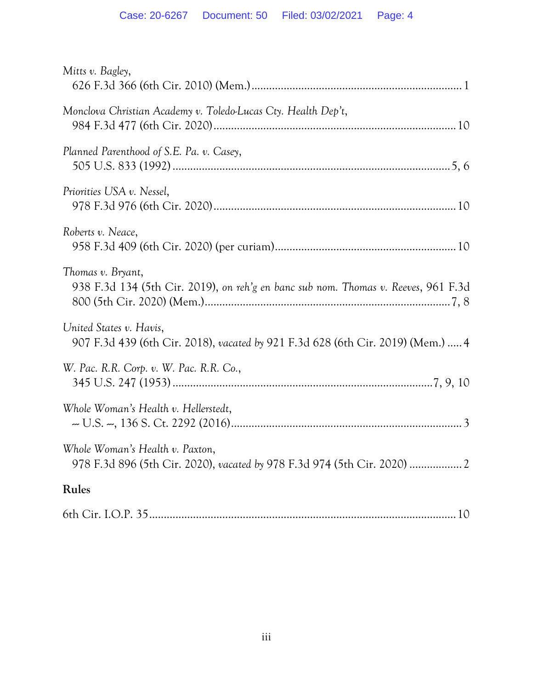| Mitts v. Bagley,                                                                                            |
|-------------------------------------------------------------------------------------------------------------|
| Monclova Christian Academy v. Toledo-Lucas Cty. Health Dep't,                                               |
| Planned Parenthood of S.E. Pa. v. Casey,                                                                    |
| Priorities USA v. Nessel,                                                                                   |
| Roberts v. Neace,                                                                                           |
| Thomas v. Bryant,<br>938 F.3d 134 (5th Cir. 2019), on reh'g en banc sub nom. Thomas v. Reeves, 961 F.3d     |
| United States v. Havis,<br>907 F.3d 439 (6th Cir. 2018), vacated by 921 F.3d 628 (6th Cir. 2019) (Mem.)  4  |
| W. Pac. R.R. Corp. v. W. Pac. R.R. Co.,                                                                     |
| Whole Woman's Health v. Hellerstedt,                                                                        |
| Whole Woman's Health v. Paxton,<br>978 F.3d 896 (5th Cir. 2020), vacated by 978 F.3d 974 (5th Cir. 2020)  2 |
| Rules                                                                                                       |
|                                                                                                             |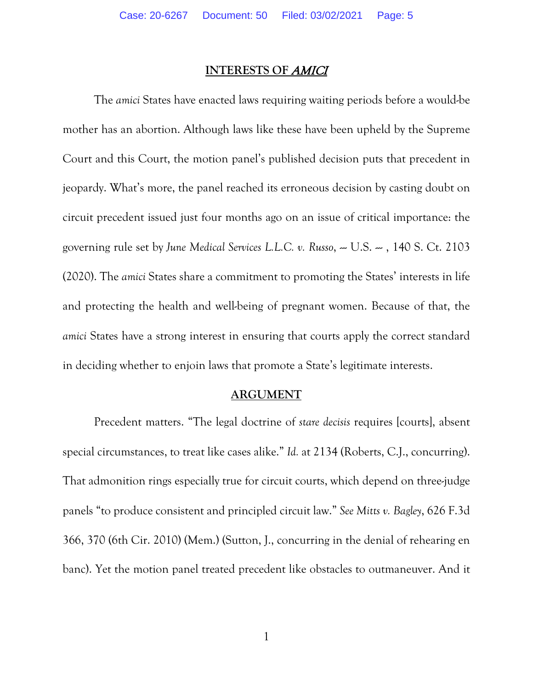#### **INTERESTS OF** AMICI

The *amici* States have enacted laws requiring waiting periods before a would-be mother has an abortion. Although laws like these have been upheld by the Supreme Court and this Court, the motion panel's published decision puts that precedent in jeopardy. What's more, the panel reached its erroneous decision by casting doubt on circuit precedent issued just four months ago on an issue of critical importance: the governing rule set by June Medical Services L.L.C. v. Russo, -- U.S. -- , 140 S. Ct. 2103 (2020). The *amici* States share a commitment to promoting the States' interests in life and protecting the health and well-being of pregnant women. Because of that, the *amici* States have a strong interest in ensuring that courts apply the correct standard in deciding whether to enjoin laws that promote a State's legitimate interests.

#### **ARGUMENT**

Precedent matters. "The legal doctrine of *stare decisis* requires [courts], absent special circumstances, to treat like cases alike." *Id.* at 2134 (Roberts, C.J., concurring). That admonition rings especially true for circuit courts, which depend on three-judge panels "to produce consistent and principled circuit law." *See Mitts v. Bagley*, 626 F.3d 366, 370 (6th Cir. 2010) (Mem.) (Sutton, J., concurring in the denial of rehearing en banc). Yet the motion panel treated precedent like obstacles to outmaneuver. And it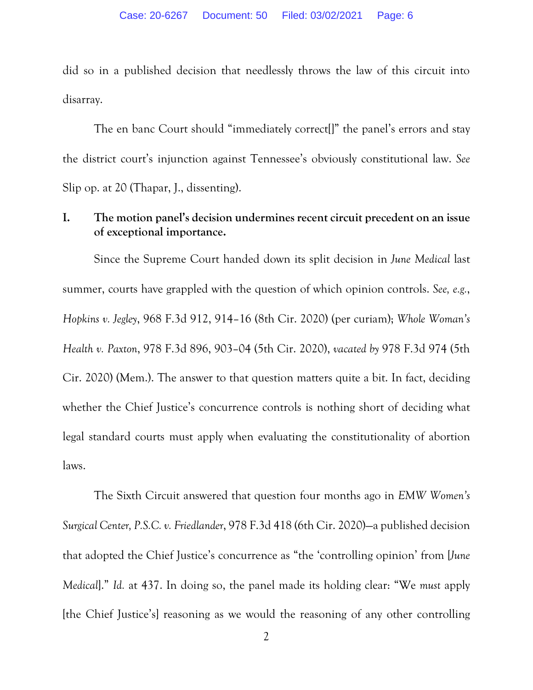did so in a published decision that needlessly throws the law of this circuit into disarray.

The en banc Court should "immediately correct[]" the panel's errors and stay the district court's injunction against Tennessee's obviously constitutional law. *See*  Slip op. at 20 (Thapar, J., dissenting).

#### **I. The motion panel's decision undermines recent circuit precedent on an issue of exceptional importance.**

Since the Supreme Court handed down its split decision in *June Medical* last summer, courts have grappled with the question of which opinion controls. *See, e.g.*, *Hopkins v. Jegley*, 968 F.3d 912, 914–16 (8th Cir. 2020) (per curiam); *Whole Woman's Health v. Paxton*, 978 F.3d 896, 903–04 (5th Cir. 2020), *vacated by* 978 F.3d 974 (5th Cir. 2020) (Mem.). The answer to that question matters quite a bit. In fact, deciding whether the Chief Justice's concurrence controls is nothing short of deciding what legal standard courts must apply when evaluating the constitutionality of abortion laws.

The Sixth Circuit answered that question four months ago in *EMW Women's Surgical Center, P.S.C. v. Friedlander*, 978 F.3d 418 (6th Cir. 2020)—a published decision that adopted the Chief Justice's concurrence as "the 'controlling opinion' from [*June Medical*]." *Id.* at 437. In doing so, the panel made its holding clear: "We *must* apply [the Chief Justice's] reasoning as we would the reasoning of any other controlling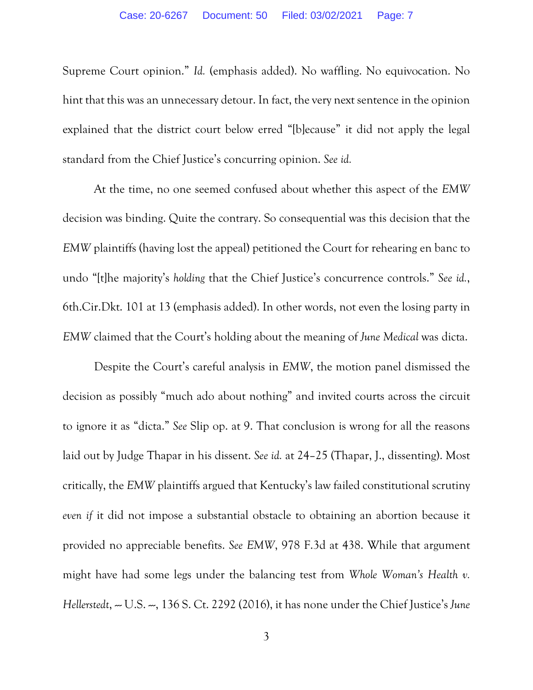Supreme Court opinion." *Id.* (emphasis added). No waffling. No equivocation. No hint that this was an unnecessary detour. In fact, the very next sentence in the opinion explained that the district court below erred "[b]ecause" it did not apply the legal standard from the Chief Justice's concurring opinion. *See id.*

At the time, no one seemed confused about whether this aspect of the *EMW* decision was binding. Quite the contrary. So consequential was this decision that the *EMW* plaintiffs (having lost the appeal) petitioned the Court for rehearing en banc to undo "[t]he majority's *holding* that the Chief Justice's concurrence controls." *See id.*, 6th.Cir.Dkt. 101 at 13 (emphasis added). In other words, not even the losing party in *EMW* claimed that the Court's holding about the meaning of *June Medical* was dicta.

Despite the Court's careful analysis in *EMW*, the motion panel dismissed the decision as possibly "much ado about nothing" and invited courts across the circuit to ignore it as "dicta." *See* Slip op. at 9. That conclusion is wrong for all the reasons laid out by Judge Thapar in his dissent. *See id.* at 24–25 (Thapar, J., dissenting). Most critically, the *EMW* plaintiffs argued that Kentucky's law failed constitutional scrutiny *even if* it did not impose a substantial obstacle to obtaining an abortion because it provided no appreciable benefits. *See EMW*, 978 F.3d at 438. While that argument might have had some legs under the balancing test from *Whole Woman's Health v. Hellerstedt, --* U.S. --, 136 S. Ct. 2292 (2016), it has none under the Chief Justice's June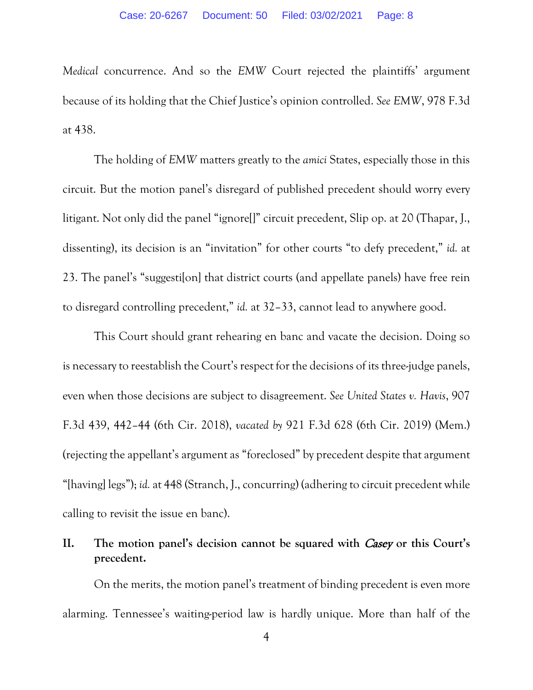*Medical* concurrence. And so the *EMW* Court rejected the plaintiffs' argument because of its holding that the Chief Justice's opinion controlled. *See EMW*, 978 F.3d at 438.

The holding of *EMW* matters greatly to the *amici* States, especially those in this circuit. But the motion panel's disregard of published precedent should worry every litigant. Not only did the panel "ignore[]" circuit precedent, Slip op. at 20 (Thapar, J., dissenting), its decision is an "invitation" for other courts "to defy precedent," *id.* at 23. The panel's "suggesti[on] that district courts (and appellate panels) have free rein to disregard controlling precedent," *id.* at 32–33, cannot lead to anywhere good.

This Court should grant rehearing en banc and vacate the decision. Doing so is necessary to reestablish the Court's respect for the decisions of its three-judge panels, even when those decisions are subject to disagreement. *See United States v. Havis*, 907 F.3d 439, 442–44 (6th Cir. 2018), *vacated by* 921 F.3d 628 (6th Cir. 2019) (Mem.) (rejecting the appellant's argument as "foreclosed" by precedent despite that argument "[having] legs"); *id.* at 448 (Stranch, J., concurring) (adhering to circuit precedent while calling to revisit the issue en banc).

## **II. The motion panel's decision cannot be squared with** Casey **or this Court's precedent.**

On the merits, the motion panel's treatment of binding precedent is even more alarming. Tennessee's waiting-period law is hardly unique. More than half of the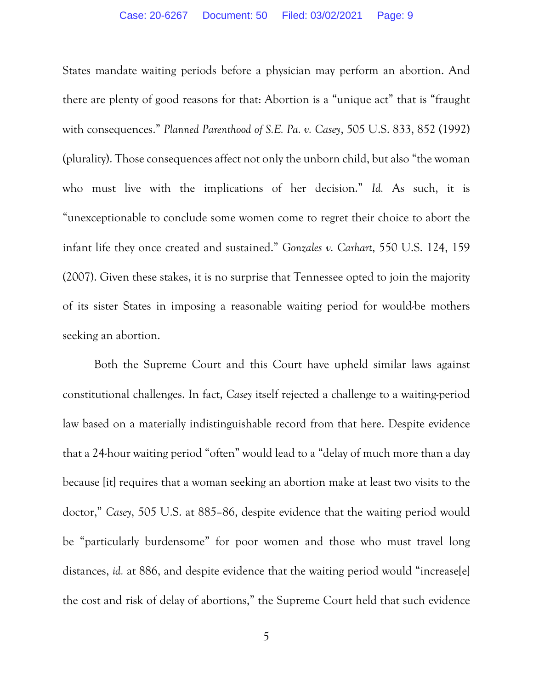States mandate waiting periods before a physician may perform an abortion. And there are plenty of good reasons for that: Abortion is a "unique act" that is "fraught with consequences." *Planned Parenthood of S.E. Pa. v. Casey*, 505 U.S. 833, 852 (1992) (plurality). Those consequences affect not only the unborn child, but also "the woman who must live with the implications of her decision." *Id.* As such, it is "unexceptionable to conclude some women come to regret their choice to abort the infant life they once created and sustained." *Gonzales v. Carhart*, 550 U.S. 124, 159 (2007). Given these stakes, it is no surprise that Tennessee opted to join the majority of its sister States in imposing a reasonable waiting period for would-be mothers seeking an abortion.

Both the Supreme Court and this Court have upheld similar laws against constitutional challenges. In fact, *Casey* itself rejected a challenge to a waiting-period law based on a materially indistinguishable record from that here. Despite evidence that a 24-hour waiting period "often" would lead to a "delay of much more than a day because [it] requires that a woman seeking an abortion make at least two visits to the doctor," *Casey*, 505 U.S. at 885–86, despite evidence that the waiting period would be "particularly burdensome" for poor women and those who must travel long distances, *id.* at 886, and despite evidence that the waiting period would "increase[e] the cost and risk of delay of abortions," the Supreme Court held that such evidence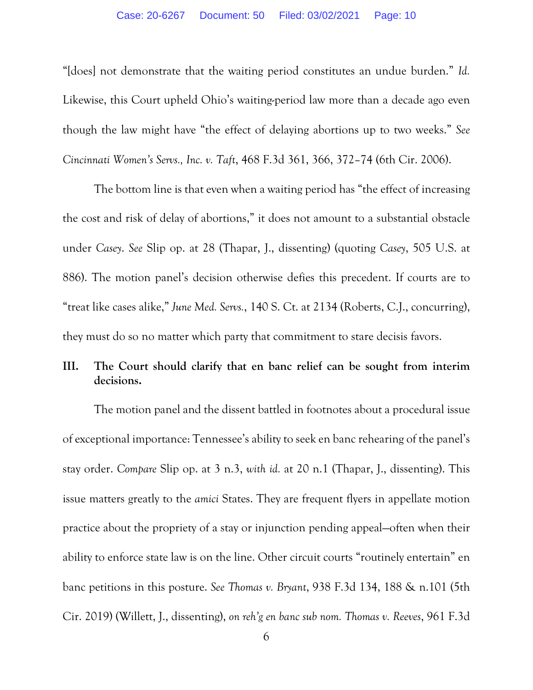"[does] not demonstrate that the waiting period constitutes an undue burden." *Id.* Likewise, this Court upheld Ohio's waiting-period law more than a decade ago even though the law might have "the effect of delaying abortions up to two weeks." *See Cincinnati Women's Servs., Inc. v. Taft*, 468 F.3d 361, 366, 372–74 (6th Cir. 2006).

The bottom line is that even when a waiting period has "the effect of increasing the cost and risk of delay of abortions," it does not amount to a substantial obstacle under *Casey*. *See* Slip op. at 28 (Thapar, J., dissenting) (quoting *Casey*, 505 U.S. at 886). The motion panel's decision otherwise defies this precedent. If courts are to "treat like cases alike," *June Med. Servs.*, 140 S. Ct. at 2134 (Roberts, C.J., concurring), they must do so no matter which party that commitment to stare decisis favors.

#### **III. The Court should clarify that en banc relief can be sought from interim decisions.**

The motion panel and the dissent battled in footnotes about a procedural issue of exceptional importance: Tennessee's ability to seek en banc rehearing of the panel's stay order. *Compare* Slip op. at 3 n.3, *with id.* at 20 n.1 (Thapar, J., dissenting). This issue matters greatly to the *amici* States. They are frequent flyers in appellate motion practice about the propriety of a stay or injunction pending appeal—often when their ability to enforce state law is on the line. Other circuit courts "routinely entertain" en banc petitions in this posture. *See Thomas v. Bryant*, 938 F.3d 134, 188 & n.101 (5th Cir. 2019) (Willett, J., dissenting), *on reh'g en banc sub nom. Thomas v. Reeves*, 961 F.3d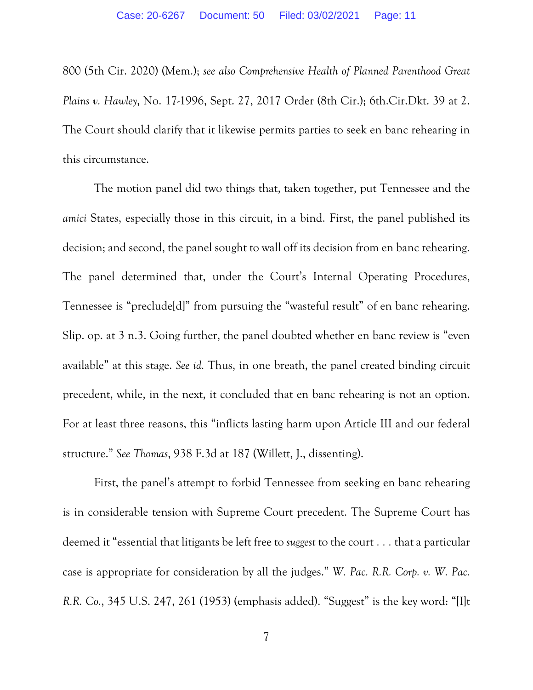800 (5th Cir. 2020) (Mem.); *see also Comprehensive Health of Planned Parenthood Great Plains v. Hawley*, No. 17-1996, Sept. 27, 2017 Order (8th Cir.); 6th.Cir.Dkt. 39 at 2. The Court should clarify that it likewise permits parties to seek en banc rehearing in this circumstance.

The motion panel did two things that, taken together, put Tennessee and the *amici* States, especially those in this circuit, in a bind. First, the panel published its decision; and second, the panel sought to wall off its decision from en banc rehearing. The panel determined that, under the Court's Internal Operating Procedures, Tennessee is "preclude[d]" from pursuing the "wasteful result" of en banc rehearing. Slip. op. at 3 n.3. Going further, the panel doubted whether en banc review is "even available" at this stage. *See id.* Thus, in one breath, the panel created binding circuit precedent, while, in the next, it concluded that en banc rehearing is not an option. For at least three reasons, this "inflicts lasting harm upon Article III and our federal structure." *See Thomas*, 938 F.3d at 187 (Willett, J., dissenting).

First, the panel's attempt to forbid Tennessee from seeking en banc rehearing is in considerable tension with Supreme Court precedent. The Supreme Court has deemed it "essential that litigants be left free to *suggest* to the court . . . that a particular case is appropriate for consideration by all the judges." *W. Pac. R.R. Corp. v. W. Pac. R.R. Co.*, 345 U.S. 247, 261 (1953) (emphasis added). "Suggest" is the key word: "[I]t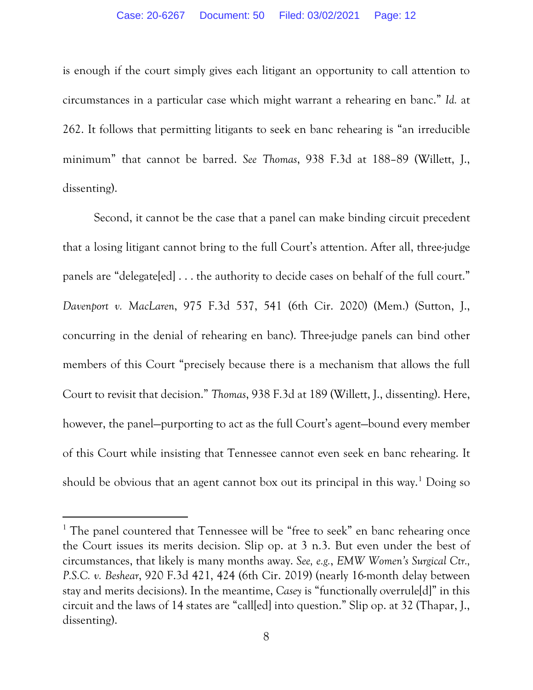is enough if the court simply gives each litigant an opportunity to call attention to circumstances in a particular case which might warrant a rehearing en banc." *Id.* at 262. It follows that permitting litigants to seek en banc rehearing is "an irreducible minimum" that cannot be barred. *See Thomas*, 938 F.3d at 188–89 (Willett, J., dissenting).

Second, it cannot be the case that a panel can make binding circuit precedent that a losing litigant cannot bring to the full Court's attention. After all, three-judge panels are "delegate[ed] . . . the authority to decide cases on behalf of the full court." *Davenport v. MacLaren*, 975 F.3d 537, 541 (6th Cir. 2020) (Mem.) (Sutton, J., concurring in the denial of rehearing en banc). Three-judge panels can bind other members of this Court "precisely because there is a mechanism that allows the full Court to revisit that decision." *Thomas*, 938 F.3d at 189 (Willett, J., dissenting). Here, however, the panel—purporting to act as the full Court's agent—bound every member of this Court while insisting that Tennessee cannot even seek en banc rehearing. It should be obvious that an agent cannot box out its principal in this way.<sup>[1](#page-11-0)</sup> Doing so

<span id="page-11-0"></span><sup>&</sup>lt;sup>1</sup> The panel countered that Tennessee will be "free to seek" en banc rehearing once the Court issues its merits decision. Slip op. at 3 n.3. But even under the best of circumstances, that likely is many months away. *See, e.g.*, *EMW Women's Surgical Ctr., P.S.C. v. Beshear*, 920 F.3d 421, 424 (6th Cir. 2019) (nearly 16-month delay between stay and merits decisions). In the meantime, *Casey* is "functionally overrule[d]" in this circuit and the laws of 14 states are "call[ed] into question." Slip op. at 32 (Thapar, J., dissenting).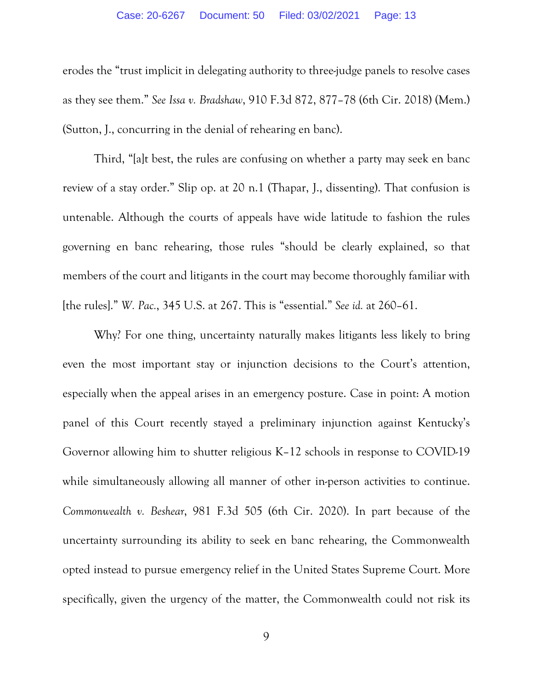erodes the "trust implicit in delegating authority to three-judge panels to resolve cases as they see them." *See Issa v. Bradshaw*, 910 F.3d 872, 877–78 (6th Cir. 2018) (Mem.) (Sutton, J., concurring in the denial of rehearing en banc).

Third, "[a]t best, the rules are confusing on whether a party may seek en banc review of a stay order." Slip op. at 20 n.1 (Thapar, J., dissenting). That confusion is untenable. Although the courts of appeals have wide latitude to fashion the rules governing en banc rehearing, those rules "should be clearly explained, so that members of the court and litigants in the court may become thoroughly familiar with [the rules]." *W. Pac.*, 345 U.S. at 267. This is "essential." *See id.* at 260–61.

Why? For one thing, uncertainty naturally makes litigants less likely to bring even the most important stay or injunction decisions to the Court's attention, especially when the appeal arises in an emergency posture. Case in point: A motion panel of this Court recently stayed a preliminary injunction against Kentucky's Governor allowing him to shutter religious K–12 schools in response to COVID-19 while simultaneously allowing all manner of other in-person activities to continue. *Commonwealth v. Beshear*, 981 F.3d 505 (6th Cir. 2020). In part because of the uncertainty surrounding its ability to seek en banc rehearing, the Commonwealth opted instead to pursue emergency relief in the United States Supreme Court. More specifically, given the urgency of the matter, the Commonwealth could not risk its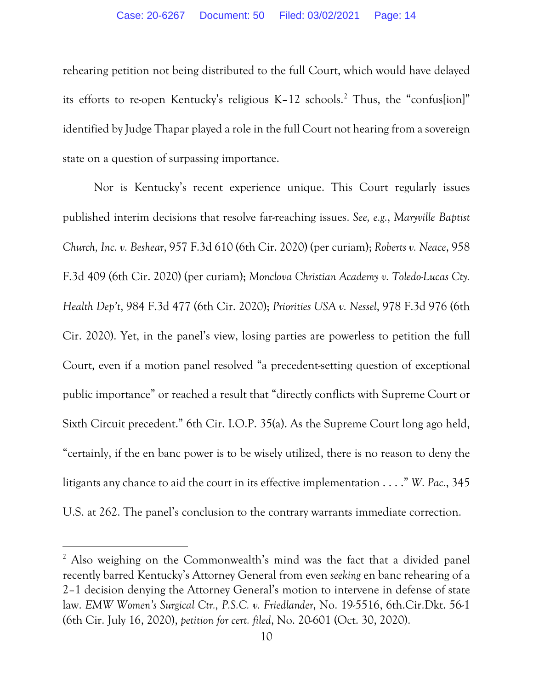rehearing petition not being distributed to the full Court, which would have delayed its efforts to re-open Kentucky's religious K–12 schools.[2](#page-13-0) Thus, the "confus[ion]" identified by Judge Thapar played a role in the full Court not hearing from a sovereign state on a question of surpassing importance.

Nor is Kentucky's recent experience unique. This Court regularly issues published interim decisions that resolve far-reaching issues. *See, e.g.*, *Maryville Baptist Church, Inc. v. Beshear*, 957 F.3d 610 (6th Cir. 2020) (per curiam); *Roberts v. Neace*, 958 F.3d 409 (6th Cir. 2020) (per curiam); *Monclova Christian Academy v. Toledo-Lucas Cty. Health Dep't*, 984 F.3d 477 (6th Cir. 2020); *Priorities USA v. Nessel*, 978 F.3d 976 (6th Cir. 2020). Yet, in the panel's view, losing parties are powerless to petition the full Court, even if a motion panel resolved "a precedent-setting question of exceptional public importance" or reached a result that "directly conflicts with Supreme Court or Sixth Circuit precedent." 6th Cir. I.O.P. 35(a). As the Supreme Court long ago held, "certainly, if the en banc power is to be wisely utilized, there is no reason to deny the litigants any chance to aid the court in its effective implementation . . . ." *W. Pac.*, 345 U.S. at 262. The panel's conclusion to the contrary warrants immediate correction.

<span id="page-13-0"></span><sup>&</sup>lt;sup>2</sup> Also weighing on the Commonwealth's mind was the fact that a divided panel recently barred Kentucky's Attorney General from even *seeking* en banc rehearing of a 2–1 decision denying the Attorney General's motion to intervene in defense of state law. *EMW Women's Surgical Ctr., P.S.C. v. Friedlander*, No. 19-5516, 6th.Cir.Dkt. 56-1 (6th Cir. July 16, 2020), *petition for cert. filed*, No. 20-601 (Oct. 30, 2020).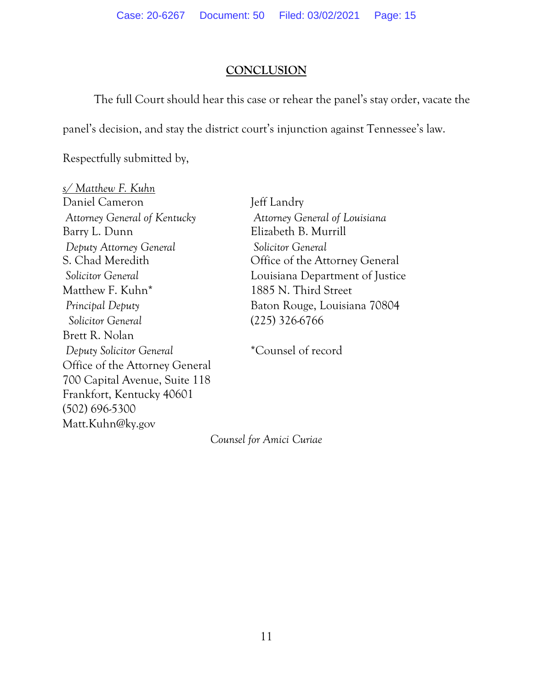## **CONCLUSION**

The full Court should hear this case or rehear the panel's stay order, vacate the

panel's decision, and stay the district court's injunction against Tennessee's law.

Respectfully submitted by,

*s/ Matthew F. Kuhn* Daniel Cameron Jeff Landry *Attorney General of Kentucky Attorney General of Louisiana* Barry L. Dunn Elizabeth B. Murrill *Deputy Attorney General Solicitor General* Matthew F. Kuhn\* 1885 N. Third Street  *Solicitor General* (225) 326-6766 Brett R. Nolan *Deputy Solicitor General* \*Counsel of record Office of the Attorney General 700 Capital Avenue, Suite 118 Frankfort, Kentucky 40601 (502) 696-5300 Matt.Kuhn@ky.gov

S. Chad Meredith Office of the Attorney General *Solicitor General* Louisiana Department of Justice *Principal Deputy* Baton Rouge, Louisiana 70804

*Counsel for Amici Curiae*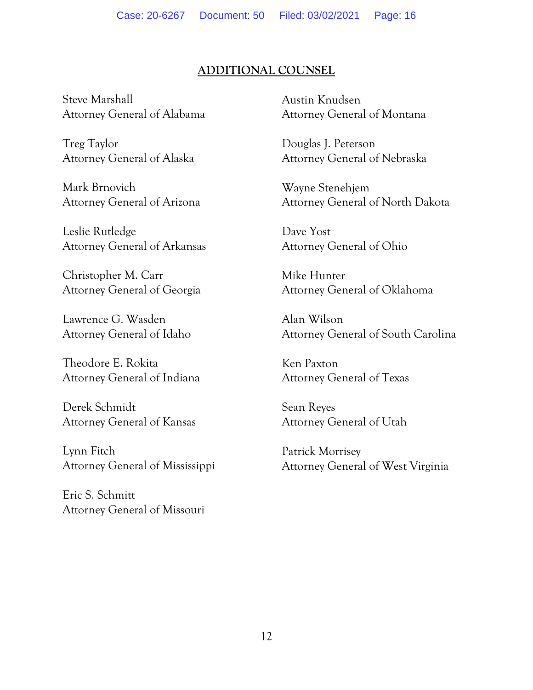## **ADDITIONAL COUNSEL**

Steve Marshall Attorney General of Alabama

Treg Taylor Attorney General of Alaska

Mark Brnovich Attorney General of Arizona

Leslie Rutledge Attorney General of Arkansas

Christopher M. Carr Attorney General of Georgia

Lawrence G. Wasden Attorney General of Idaho

Theodore E. Rokita Attorney General of Indiana

Derek Schmidt Attorney General of Kansas

Lynn Fitch Attorney General of Mississippi

Eric S. Schmitt Attorney General of Missouri Austin Knudsen Attorney General of Montana

Douglas J. Peterson Attorney General of Nebraska

Wayne Stenehjem Attorney General of North Dakota

Dave Yost Attorney General of Ohio

Mike Hunter Attorney General of Oklahoma

Alan Wilson Attorney General of South Carolina

Ken Paxton Attorney General of Texas

Sean Reyes Attorney General of Utah

Patrick Morrisey Attorney General of West Virginia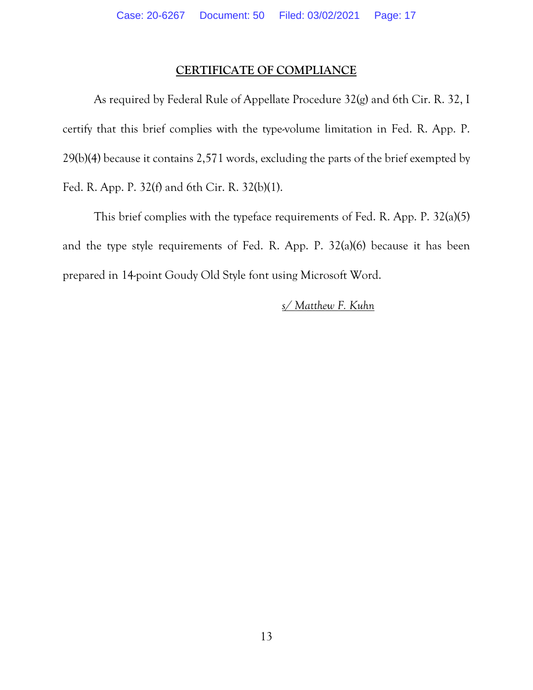#### **CERTIFICATE OF COMPLIANCE**

As required by Federal Rule of Appellate Procedure 32(g) and 6th Cir. R. 32, I certify that this brief complies with the type-volume limitation in Fed. R. App. P. 29(b)(4) because it contains 2,571 words, excluding the parts of the brief exempted by Fed. R. App. P. 32(f) and 6th Cir. R. 32(b)(1).

This brief complies with the typeface requirements of Fed. R. App. P. 32(a)(5) and the type style requirements of Fed. R. App. P. 32(a)(6) because it has been prepared in 14-point Goudy Old Style font using Microsoft Word.

#### *s/ Matthew F. Kuhn*